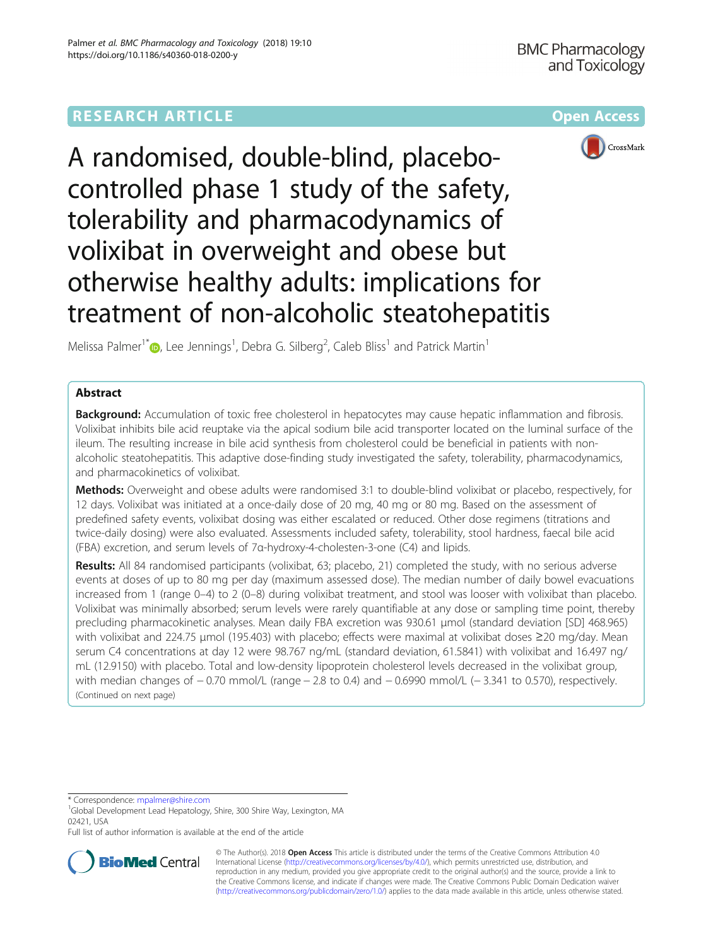# **RESEARCH ARTICLE Example 2014 CONSIDERING CONSIDERING CONSIDERING CONSIDERING CONSIDERING CONSIDERING CONSIDERING CONSIDERING CONSIDERING CONSIDERING CONSIDERING CONSIDERING CONSIDERING CONSIDERING CONSIDERING CONSIDE**





A randomised, double-blind, placebocontrolled phase 1 study of the safety, tolerability and pharmacodynamics of volixibat in overweight and obese but otherwise healthy adults: implications for treatment of non-alcoholic steatohepatitis

Melissa Palmer<sup>1\*</sup> $\textbf{\textcircled{\textcirc}}$ [,](http://orcid.org/0000-0002-8745-6865) Lee Jennings<sup>1</sup>, Debra G. Silberg<sup>2</sup>, Caleb Bliss<sup>1</sup> and Patrick Martin<sup>1</sup>

# Abstract

Background: Accumulation of toxic free cholesterol in hepatocytes may cause hepatic inflammation and fibrosis. Volixibat inhibits bile acid reuptake via the apical sodium bile acid transporter located on the luminal surface of the ileum. The resulting increase in bile acid synthesis from cholesterol could be beneficial in patients with nonalcoholic steatohepatitis. This adaptive dose-finding study investigated the safety, tolerability, pharmacodynamics, and pharmacokinetics of volixibat.

Methods: Overweight and obese adults were randomised 3:1 to double-blind volixibat or placebo, respectively, for 12 days. Volixibat was initiated at a once-daily dose of 20 mg, 40 mg or 80 mg. Based on the assessment of predefined safety events, volixibat dosing was either escalated or reduced. Other dose regimens (titrations and twice-daily dosing) were also evaluated. Assessments included safety, tolerability, stool hardness, faecal bile acid (FBA) excretion, and serum levels of 7α-hydroxy-4-cholesten-3-one (C4) and lipids.

Results: All 84 randomised participants (volixibat, 63; placebo, 21) completed the study, with no serious adverse events at doses of up to 80 mg per day (maximum assessed dose). The median number of daily bowel evacuations increased from 1 (range 0–4) to 2 (0–8) during volixibat treatment, and stool was looser with volixibat than placebo. Volixibat was minimally absorbed; serum levels were rarely quantifiable at any dose or sampling time point, thereby precluding pharmacokinetic analyses. Mean daily FBA excretion was 930.61 μmol (standard deviation [SD] 468.965) with volixibat and 224.75 μmol (195.403) with placebo; effects were maximal at volixibat doses ≥20 mg/day. Mean serum C4 concentrations at day 12 were 98.767 ng/mL (standard deviation, 61.5841) with volixibat and 16.497 ng/ mL (12.9150) with placebo. Total and low-density lipoprotein cholesterol levels decreased in the volixibat group, with median changes of − 0.70 mmol/L (range − 2.8 to 0.4) and − 0.6990 mmol/L (− 3.341 to 0.570), respectively. (Continued on next page)

\* Correspondence: [mpalmer@shire.com](mailto:mpalmer@shire.com) <sup>1</sup>

<sup>1</sup>Global Development Lead Hepatology, Shire, 300 Shire Way, Lexington, MA 02421, USA

Full list of author information is available at the end of the article



© The Author(s). 2018 Open Access This article is distributed under the terms of the Creative Commons Attribution 4.0 International License [\(http://creativecommons.org/licenses/by/4.0/](http://creativecommons.org/licenses/by/4.0/)), which permits unrestricted use, distribution, and reproduction in any medium, provided you give appropriate credit to the original author(s) and the source, provide a link to the Creative Commons license, and indicate if changes were made. The Creative Commons Public Domain Dedication waiver [\(http://creativecommons.org/publicdomain/zero/1.0/](http://creativecommons.org/publicdomain/zero/1.0/)) applies to the data made available in this article, unless otherwise stated.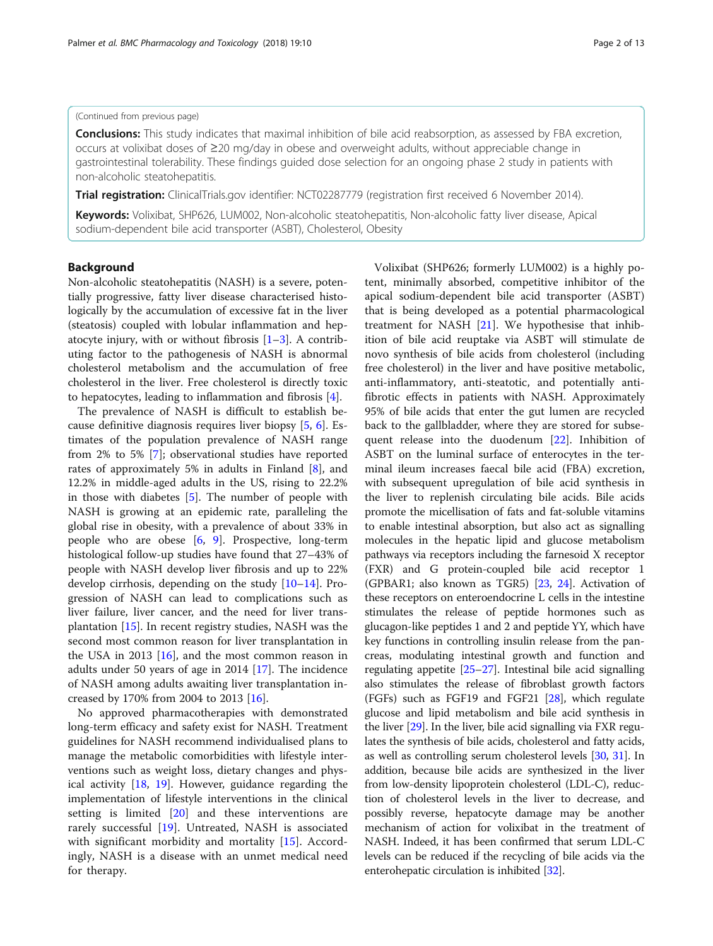## (Continued from previous page)

Conclusions: This study indicates that maximal inhibition of bile acid reabsorption, as assessed by FBA excretion, occurs at volixibat doses of ≥20 mg/day in obese and overweight adults, without appreciable change in gastrointestinal tolerability. These findings guided dose selection for an ongoing phase 2 study in patients with non-alcoholic steatohepatitis.

Trial registration: ClinicalTrials.gov identifier: NCT02287779 (registration first received 6 November 2014).

Keywords: Volixibat, SHP626, LUM002, Non-alcoholic steatohepatitis, Non-alcoholic fatty liver disease, Apical sodium-dependent bile acid transporter (ASBT), Cholesterol, Obesity

# Background

Non-alcoholic steatohepatitis (NASH) is a severe, potentially progressive, fatty liver disease characterised histologically by the accumulation of excessive fat in the liver (steatosis) coupled with lobular inflammation and hepatocyte injury, with or without fibrosis  $[1-3]$  $[1-3]$  $[1-3]$  $[1-3]$ . A contributing factor to the pathogenesis of NASH is abnormal cholesterol metabolism and the accumulation of free cholesterol in the liver. Free cholesterol is directly toxic to hepatocytes, leading to inflammation and fibrosis [[4\]](#page-12-0).

The prevalence of NASH is difficult to establish because definitive diagnosis requires liver biopsy [[5,](#page-12-0) [6](#page-12-0)]. Estimates of the population prevalence of NASH range from 2% to 5% [[7\]](#page-12-0); observational studies have reported rates of approximately 5% in adults in Finland [\[8](#page-12-0)], and 12.2% in middle-aged adults in the US, rising to 22.2% in those with diabetes [[5\]](#page-12-0). The number of people with NASH is growing at an epidemic rate, paralleling the global rise in obesity, with a prevalence of about 33% in people who are obese [[6](#page-12-0), [9\]](#page-12-0). Prospective, long-term histological follow-up studies have found that 27–43% of people with NASH develop liver fibrosis and up to 22% develop cirrhosis, depending on the study [\[10](#page-12-0)–[14\]](#page-12-0). Progression of NASH can lead to complications such as liver failure, liver cancer, and the need for liver transplantation [\[15](#page-12-0)]. In recent registry studies, NASH was the second most common reason for liver transplantation in the USA in 2013 [\[16\]](#page-12-0), and the most common reason in adults under 50 years of age in 2014 [\[17\]](#page-12-0). The incidence of NASH among adults awaiting liver transplantation increased by 170% from 2004 to 2013 [\[16](#page-12-0)].

No approved pharmacotherapies with demonstrated long-term efficacy and safety exist for NASH. Treatment guidelines for NASH recommend individualised plans to manage the metabolic comorbidities with lifestyle interventions such as weight loss, dietary changes and physical activity [[18,](#page-12-0) [19](#page-12-0)]. However, guidance regarding the implementation of lifestyle interventions in the clinical setting is limited [[20\]](#page-12-0) and these interventions are rarely successful [[19](#page-12-0)]. Untreated, NASH is associated with significant morbidity and mortality [[15\]](#page-12-0). Accordingly, NASH is a disease with an unmet medical need for therapy.

Volixibat (SHP626; formerly LUM002) is a highly potent, minimally absorbed, competitive inhibitor of the apical sodium-dependent bile acid transporter (ASBT) that is being developed as a potential pharmacological treatment for NASH [\[21](#page-12-0)]. We hypothesise that inhibition of bile acid reuptake via ASBT will stimulate de novo synthesis of bile acids from cholesterol (including free cholesterol) in the liver and have positive metabolic, anti-inflammatory, anti-steatotic, and potentially antifibrotic effects in patients with NASH. Approximately 95% of bile acids that enter the gut lumen are recycled back to the gallbladder, where they are stored for subsequent release into the duodenum [[22\]](#page-12-0). Inhibition of ASBT on the luminal surface of enterocytes in the terminal ileum increases faecal bile acid (FBA) excretion, with subsequent upregulation of bile acid synthesis in the liver to replenish circulating bile acids. Bile acids promote the micellisation of fats and fat-soluble vitamins to enable intestinal absorption, but also act as signalling molecules in the hepatic lipid and glucose metabolism pathways via receptors including the farnesoid X receptor (FXR) and G protein-coupled bile acid receptor 1 (GPBAR1; also known as TGR5) [\[23](#page-12-0), [24](#page-12-0)]. Activation of these receptors on enteroendocrine L cells in the intestine stimulates the release of peptide hormones such as glucagon-like peptides 1 and 2 and peptide YY, which have key functions in controlling insulin release from the pancreas, modulating intestinal growth and function and regulating appetite [\[25](#page-12-0)–[27](#page-12-0)]. Intestinal bile acid signalling also stimulates the release of fibroblast growth factors (FGFs) such as FGF19 and FGF21 [\[28\]](#page-12-0), which regulate glucose and lipid metabolism and bile acid synthesis in the liver [[29](#page-12-0)]. In the liver, bile acid signalling via FXR regulates the synthesis of bile acids, cholesterol and fatty acids, as well as controlling serum cholesterol levels [[30,](#page-12-0) [31\]](#page-12-0). In addition, because bile acids are synthesized in the liver from low-density lipoprotein cholesterol (LDL-C), reduction of cholesterol levels in the liver to decrease, and possibly reverse, hepatocyte damage may be another mechanism of action for volixibat in the treatment of NASH. Indeed, it has been confirmed that serum LDL-C levels can be reduced if the recycling of bile acids via the enterohepatic circulation is inhibited [\[32\]](#page-12-0).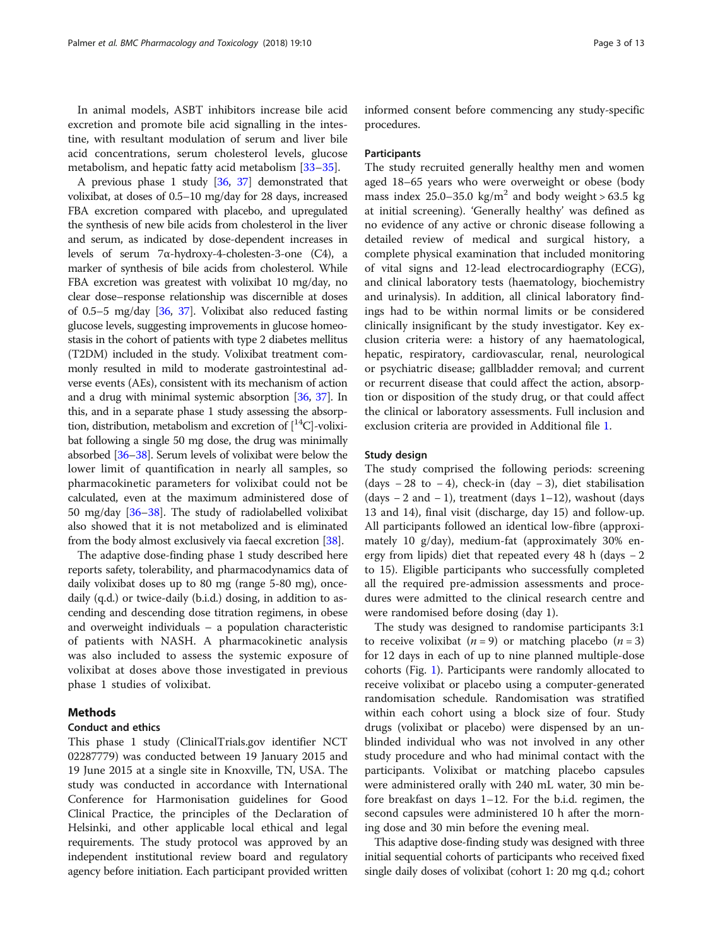In animal models, ASBT inhibitors increase bile acid excretion and promote bile acid signalling in the intestine, with resultant modulation of serum and liver bile acid concentrations, serum cholesterol levels, glucose metabolism, and hepatic fatty acid metabolism [[33](#page-12-0)–[35](#page-12-0)].

A previous phase 1 study [\[36,](#page-12-0) [37](#page-12-0)] demonstrated that volixibat, at doses of 0.5–10 mg/day for 28 days, increased FBA excretion compared with placebo, and upregulated the synthesis of new bile acids from cholesterol in the liver and serum, as indicated by dose-dependent increases in levels of serum 7α-hydroxy-4-cholesten-3-one (C4), a marker of synthesis of bile acids from cholesterol. While FBA excretion was greatest with volixibat 10 mg/day, no clear dose–response relationship was discernible at doses of 0.5–5 mg/day [[36](#page-12-0), [37\]](#page-12-0). Volixibat also reduced fasting glucose levels, suggesting improvements in glucose homeostasis in the cohort of patients with type 2 diabetes mellitus (T2DM) included in the study. Volixibat treatment commonly resulted in mild to moderate gastrointestinal adverse events (AEs), consistent with its mechanism of action and a drug with minimal systemic absorption [\[36](#page-12-0), [37](#page-12-0)]. In this, and in a separate phase 1 study assessing the absorption, distribution, metabolism and excretion of  $\binom{14}{ }$ -volixibat following a single 50 mg dose, the drug was minimally absorbed [\[36](#page-12-0)–[38\]](#page-12-0). Serum levels of volixibat were below the lower limit of quantification in nearly all samples, so pharmacokinetic parameters for volixibat could not be calculated, even at the maximum administered dose of 50 mg/day [\[36](#page-12-0)–[38](#page-12-0)]. The study of radiolabelled volixibat also showed that it is not metabolized and is eliminated from the body almost exclusively via faecal excretion [[38](#page-12-0)].

The adaptive dose-finding phase 1 study described here reports safety, tolerability, and pharmacodynamics data of daily volixibat doses up to 80 mg (range 5-80 mg), oncedaily (q.d.) or twice-daily (b.i.d.) dosing, in addition to ascending and descending dose titration regimens, in obese and overweight individuals – a population characteristic of patients with NASH. A pharmacokinetic analysis was also included to assess the systemic exposure of volixibat at doses above those investigated in previous phase 1 studies of volixibat.

## Methods

## Conduct and ethics

This phase 1 study (ClinicalTrials.gov identifier NCT 02287779) was conducted between 19 January 2015 and 19 June 2015 at a single site in Knoxville, TN, USA. The study was conducted in accordance with International Conference for Harmonisation guidelines for Good Clinical Practice, the principles of the Declaration of Helsinki, and other applicable local ethical and legal requirements. The study protocol was approved by an independent institutional review board and regulatory agency before initiation. Each participant provided written

informed consent before commencing any study-specific procedures.

### **Participants**

The study recruited generally healthy men and women aged 18–65 years who were overweight or obese (body mass index 25.0–35.0 kg/m<sup>2</sup> and body weight > 63.5 kg at initial screening). 'Generally healthy' was defined as no evidence of any active or chronic disease following a detailed review of medical and surgical history, a complete physical examination that included monitoring of vital signs and 12-lead electrocardiography (ECG), and clinical laboratory tests (haematology, biochemistry and urinalysis). In addition, all clinical laboratory findings had to be within normal limits or be considered clinically insignificant by the study investigator. Key exclusion criteria were: a history of any haematological, hepatic, respiratory, cardiovascular, renal, neurological or psychiatric disease; gallbladder removal; and current or recurrent disease that could affect the action, absorption or disposition of the study drug, or that could affect the clinical or laboratory assessments. Full inclusion and exclusion criteria are provided in Additional file [1](#page-11-0).

## Study design

The study comprised the following periods: screening (days  $-28$  to  $-4$ ), check-in (day  $-3$ ), diet stabilisation (days  $-2$  and  $-1$ ), treatment (days 1–12), washout (days 13 and 14), final visit (discharge, day 15) and follow-up. All participants followed an identical low-fibre (approximately 10 g/day), medium-fat (approximately 30% energy from lipids) diet that repeated every 48 h (days − 2 to 15). Eligible participants who successfully completed all the required pre-admission assessments and procedures were admitted to the clinical research centre and were randomised before dosing (day 1).

The study was designed to randomise participants 3:1 to receive volixibat  $(n = 9)$  or matching placebo  $(n = 3)$ for 12 days in each of up to nine planned multiple-dose cohorts (Fig. [1\)](#page-3-0). Participants were randomly allocated to receive volixibat or placebo using a computer-generated randomisation schedule. Randomisation was stratified within each cohort using a block size of four. Study drugs (volixibat or placebo) were dispensed by an unblinded individual who was not involved in any other study procedure and who had minimal contact with the participants. Volixibat or matching placebo capsules were administered orally with 240 mL water, 30 min before breakfast on days 1–12. For the b.i.d. regimen, the second capsules were administered 10 h after the morning dose and 30 min before the evening meal.

This adaptive dose-finding study was designed with three initial sequential cohorts of participants who received fixed single daily doses of volixibat (cohort 1: 20 mg q.d.; cohort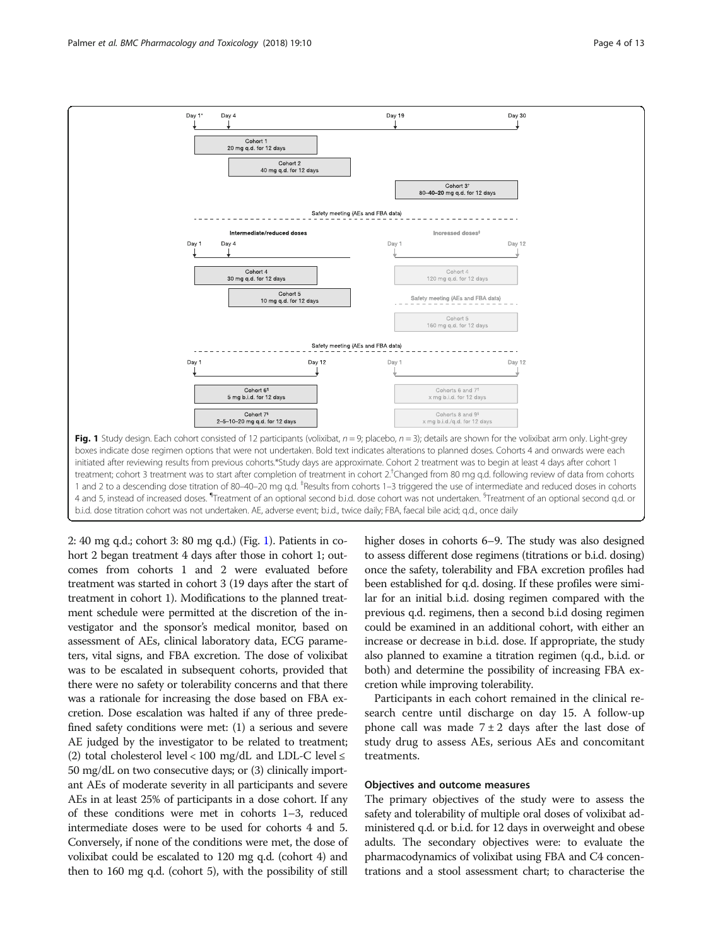<span id="page-3-0"></span>

2: 40 mg q.d.; cohort 3: 80 mg q.d.) (Fig. 1). Patients in cohort 2 began treatment 4 days after those in cohort 1; outcomes from cohorts 1 and 2 were evaluated before treatment was started in cohort 3 (19 days after the start of treatment in cohort 1). Modifications to the planned treatment schedule were permitted at the discretion of the investigator and the sponsor's medical monitor, based on assessment of AEs, clinical laboratory data, ECG parameters, vital signs, and FBA excretion. The dose of volixibat was to be escalated in subsequent cohorts, provided that there were no safety or tolerability concerns and that there was a rationale for increasing the dose based on FBA excretion. Dose escalation was halted if any of three predefined safety conditions were met: (1) a serious and severe AE judged by the investigator to be related to treatment; (2) total cholesterol level < 100 mg/dL and LDL-C level  $\le$ 50 mg/dL on two consecutive days; or (3) clinically important AEs of moderate severity in all participants and severe AEs in at least 25% of participants in a dose cohort. If any of these conditions were met in cohorts 1–3, reduced intermediate doses were to be used for cohorts 4 and 5. Conversely, if none of the conditions were met, the dose of volixibat could be escalated to 120 mg q.d. (cohort 4) and then to 160 mg q.d. (cohort 5), with the possibility of still higher doses in cohorts 6–9. The study was also designed to assess different dose regimens (titrations or b.i.d. dosing) once the safety, tolerability and FBA excretion profiles had been established for q.d. dosing. If these profiles were similar for an initial b.i.d. dosing regimen compared with the previous q.d. regimens, then a second b.i.d dosing regimen could be examined in an additional cohort, with either an increase or decrease in b.i.d. dose. If appropriate, the study also planned to examine a titration regimen (q.d., b.i.d. or both) and determine the possibility of increasing FBA excretion while improving tolerability.

Participants in each cohort remained in the clinical research centre until discharge on day 15. A follow-up phone call was made  $7 \pm 2$  days after the last dose of study drug to assess AEs, serious AEs and concomitant treatments.

## Objectives and outcome measures

The primary objectives of the study were to assess the safety and tolerability of multiple oral doses of volixibat administered q.d. or b.i.d. for 12 days in overweight and obese adults. The secondary objectives were: to evaluate the pharmacodynamics of volixibat using FBA and C4 concentrations and a stool assessment chart; to characterise the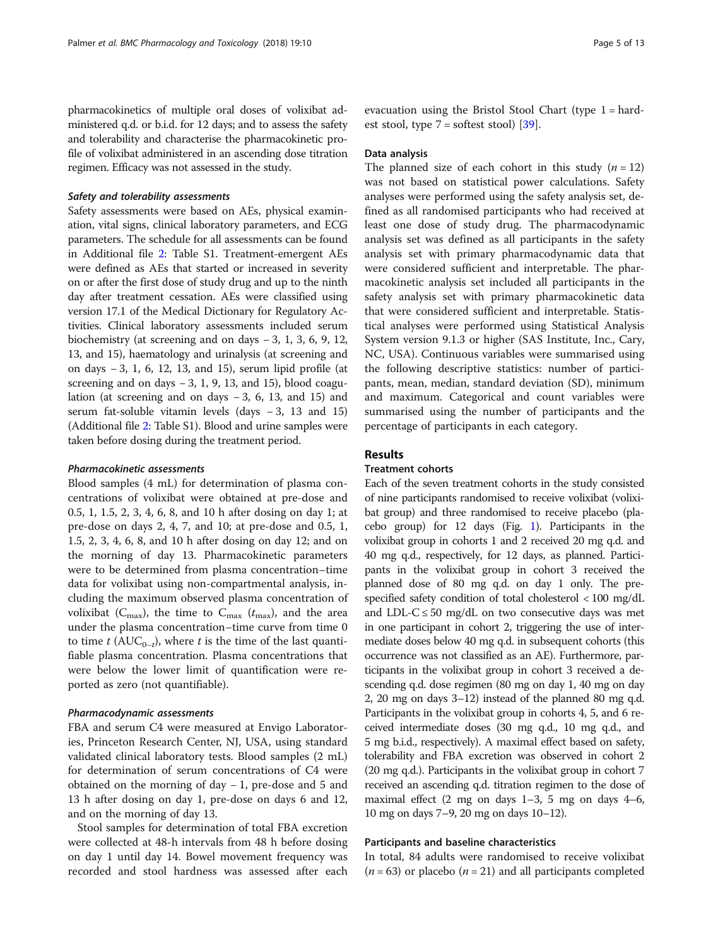pharmacokinetics of multiple oral doses of volixibat administered q.d. or b.i.d. for 12 days; and to assess the safety and tolerability and characterise the pharmacokinetic profile of volixibat administered in an ascending dose titration regimen. Efficacy was not assessed in the study.

## Safety and tolerability assessments

Safety assessments were based on AEs, physical examination, vital signs, clinical laboratory parameters, and ECG parameters. The schedule for all assessments can be found in Additional file [2](#page-11-0): Table S1. Treatment-emergent AEs were defined as AEs that started or increased in severity on or after the first dose of study drug and up to the ninth day after treatment cessation. AEs were classified using version 17.1 of the Medical Dictionary for Regulatory Activities. Clinical laboratory assessments included serum biochemistry (at screening and on days − 3, 1, 3, 6, 9, 12, 13, and 15), haematology and urinalysis (at screening and on days − 3, 1, 6, 12, 13, and 15), serum lipid profile (at screening and on days  $-3$ , 1, 9, 13, and 15), blood coagulation (at screening and on days − 3, 6, 13, and 15) and serum fat-soluble vitamin levels (days − 3, 13 and 15) (Additional file [2](#page-11-0): Table S1). Blood and urine samples were taken before dosing during the treatment period.

## Pharmacokinetic assessments

Blood samples (4 mL) for determination of plasma concentrations of volixibat were obtained at pre-dose and 0.5, 1, 1.5, 2, 3, 4, 6, 8, and 10 h after dosing on day 1; at pre-dose on days 2, 4, 7, and 10; at pre-dose and 0.5, 1, 1.5, 2, 3, 4, 6, 8, and 10 h after dosing on day 12; and on the morning of day 13. Pharmacokinetic parameters were to be determined from plasma concentration–time data for volixibat using non-compartmental analysis, including the maximum observed plasma concentration of volixibat ( $C_{\text{max}}$ ), the time to  $C_{\text{max}}$  ( $t_{\text{max}}$ ), and the area under the plasma concentration–time curve from time 0 to time t ( $AUC_{0-t}$ ), where t is the time of the last quantifiable plasma concentration. Plasma concentrations that were below the lower limit of quantification were reported as zero (not quantifiable).

## Pharmacodynamic assessments

FBA and serum C4 were measured at Envigo Laboratories, Princeton Research Center, NJ, USA, using standard validated clinical laboratory tests. Blood samples (2 mL) for determination of serum concentrations of C4 were obtained on the morning of day − 1, pre-dose and 5 and 13 h after dosing on day 1, pre-dose on days 6 and 12, and on the morning of day 13.

Stool samples for determination of total FBA excretion were collected at 48-h intervals from 48 h before dosing on day 1 until day 14. Bowel movement frequency was recorded and stool hardness was assessed after each evacuation using the Bristol Stool Chart (type  $1 = \text{hard}$ est stool, type  $7 =$  softest stool) [[39\]](#page-12-0).

## Data analysis

The planned size of each cohort in this study  $(n = 12)$ was not based on statistical power calculations. Safety analyses were performed using the safety analysis set, defined as all randomised participants who had received at least one dose of study drug. The pharmacodynamic analysis set was defined as all participants in the safety analysis set with primary pharmacodynamic data that were considered sufficient and interpretable. The pharmacokinetic analysis set included all participants in the safety analysis set with primary pharmacokinetic data that were considered sufficient and interpretable. Statistical analyses were performed using Statistical Analysis System version 9.1.3 or higher (SAS Institute, Inc., Cary, NC, USA). Continuous variables were summarised using the following descriptive statistics: number of participants, mean, median, standard deviation (SD), minimum and maximum. Categorical and count variables were summarised using the number of participants and the percentage of participants in each category.

## Results

## Treatment cohorts

Each of the seven treatment cohorts in the study consisted of nine participants randomised to receive volixibat (volixibat group) and three randomised to receive placebo (placebo group) for 12 days (Fig. [1\)](#page-3-0). Participants in the volixibat group in cohorts 1 and 2 received 20 mg q.d. and 40 mg q.d., respectively, for 12 days, as planned. Participants in the volixibat group in cohort 3 received the planned dose of 80 mg q.d. on day 1 only. The prespecified safety condition of total cholesterol < 100 mg/dL and LDL-C  $\leq$  50 mg/dL on two consecutive days was met in one participant in cohort 2, triggering the use of intermediate doses below 40 mg q.d. in subsequent cohorts (this occurrence was not classified as an AE). Furthermore, participants in the volixibat group in cohort 3 received a descending q.d. dose regimen (80 mg on day 1, 40 mg on day 2, 20 mg on days 3–12) instead of the planned 80 mg q.d. Participants in the volixibat group in cohorts 4, 5, and 6 received intermediate doses (30 mg q.d., 10 mg q.d., and 5 mg b.i.d., respectively). A maximal effect based on safety, tolerability and FBA excretion was observed in cohort 2 (20 mg q.d.). Participants in the volixibat group in cohort 7 received an ascending q.d. titration regimen to the dose of maximal effect  $(2 \text{ mg on days } 1-3, 5 \text{ mg on days } 4-6,$ 10 mg on days 7–9, 20 mg on days 10–12).

## Participants and baseline characteristics

In total, 84 adults were randomised to receive volixibat  $(n = 63)$  or placebo  $(n = 21)$  and all participants completed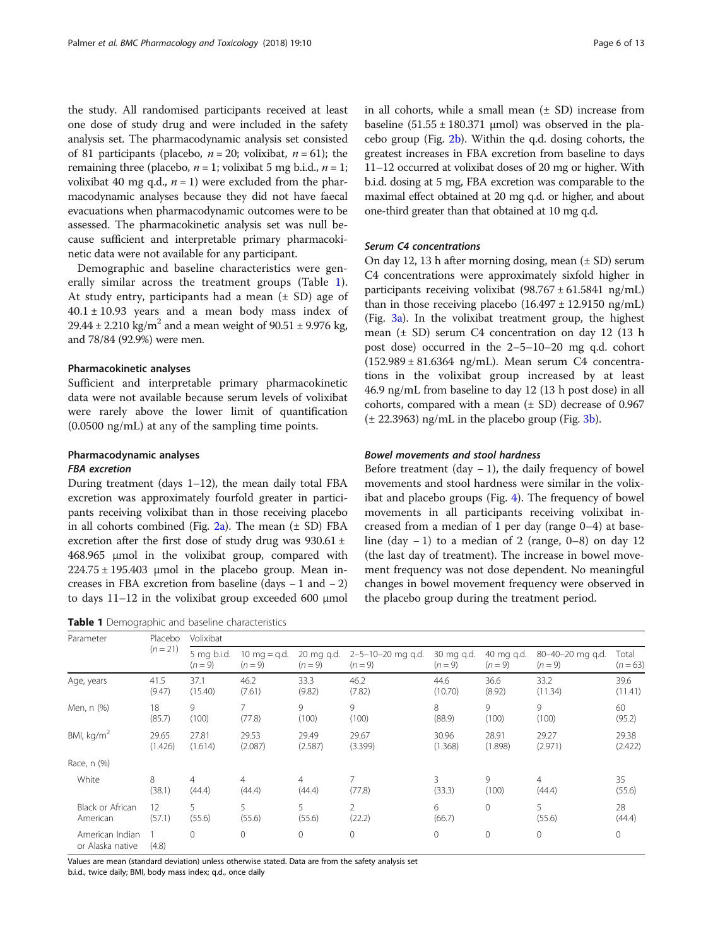the study. All randomised participants received at least one dose of study drug and were included in the safety analysis set. The pharmacodynamic analysis set consisted of 81 participants (placebo,  $n = 20$ ; volixibat,  $n = 61$ ); the remaining three (placebo,  $n = 1$ ; volixibat 5 mg b.i.d.,  $n = 1$ ; volixibat 40 mg q.d.,  $n = 1$ ) were excluded from the pharmacodynamic analyses because they did not have faecal evacuations when pharmacodynamic outcomes were to be assessed. The pharmacokinetic analysis set was null because sufficient and interpretable primary pharmacokinetic data were not available for any participant.

Demographic and baseline characteristics were generally similar across the treatment groups (Table 1). At study entry, participants had a mean  $(\pm SD)$  age of  $40.1 \pm 10.93$  years and a mean body mass index of 29.44 ± 2.210 kg/m<sup>2</sup> and a mean weight of 90.51 ± 9.976 kg, and 78/84 (92.9%) were men.

## Pharmacokinetic analyses

Sufficient and interpretable primary pharmacokinetic data were not available because serum levels of volixibat were rarely above the lower limit of quantification (0.0500 ng/mL) at any of the sampling time points.

## Pharmacodynamic analyses

#### FBA excretion

During treatment (days 1–12), the mean daily total FBA excretion was approximately fourfold greater in participants receiving volixibat than in those receiving placebo in all cohorts combined (Fig.  $2a$ ). The mean ( $\pm$  SD) FBA excretion after the first dose of study drug was  $930.61 \pm$ 468.965 μmol in the volixibat group, compared with  $224.75 \pm 195.403$  µmol in the placebo group. Mean increases in FBA excretion from baseline (days − 1 and − 2) to days 11–12 in the volixibat group exceeded 600 μmol

Table 1 Demographic and baseline characteristics

in all cohorts, while a small mean  $(\pm SD)$  increase from baseline  $(51.55 \pm 180.371 \mu \text{mol})$  was observed in the placebo group (Fig. [2b\)](#page-6-0). Within the q.d. dosing cohorts, the greatest increases in FBA excretion from baseline to days 11–12 occurred at volixibat doses of 20 mg or higher. With b.i.d. dosing at 5 mg, FBA excretion was comparable to the maximal effect obtained at 20 mg q.d. or higher, and about one-third greater than that obtained at 10 mg q.d.

## Serum C4 concentrations

On day 12, 13 h after morning dosing, mean  $(\pm SD)$  serum C4 concentrations were approximately sixfold higher in participants receiving volixibat  $(98.767 \pm 61.5841 \text{ ng/mL})$ than in those receiving placebo  $(16.497 \pm 12.9150 \text{ ng/mL})$ (Fig. [3a](#page-6-0)). In the volixibat treatment group, the highest mean (± SD) serum C4 concentration on day 12 (13 h post dose) occurred in the 2–5–10–20 mg q.d. cohort  $(152.989 \pm 81.6364 \text{ ng/mL})$ . Mean serum C4 concentrations in the volixibat group increased by at least 46.9 ng/mL from baseline to day 12 (13 h post dose) in all cohorts, compared with a mean  $(\pm$  SD) decrease of 0.967  $(\pm 22.3963)$  ng/mL in the placebo group (Fig. [3b](#page-6-0)).

## Bowel movements and stool hardness

Before treatment (day − 1), the daily frequency of bowel movements and stool hardness were similar in the volixibat and placebo groups (Fig. [4](#page-7-0)). The frequency of bowel movements in all participants receiving volixibat increased from a median of 1 per day (range 0–4) at baseline (day  $-1$ ) to a median of 2 (range, 0–8) on day 12 (the last day of treatment). The increase in bowel movement frequency was not dose dependent. No meaningful changes in bowel movement frequency were observed in the placebo group during the treatment period.

| Parameter                           | Placebo<br>$(n = 21)$ | Volixibat                |                             |                          |                              |                       |                       |                             |                     |
|-------------------------------------|-----------------------|--------------------------|-----------------------------|--------------------------|------------------------------|-----------------------|-----------------------|-----------------------------|---------------------|
|                                     |                       | 5 mg b.i.d.<br>$(n = 9)$ | 10 mg = $q.d.$<br>$(n = 9)$ | 20 mg g.d.<br>$(n=9)$    | 2-5-10-20 mg g.d.<br>$(n=9)$ | 30 mg g.d.<br>$(n=9)$ | 40 mg g.d.<br>$(n=9)$ | 80-40-20 mg g.d.<br>$(n=9)$ | Total<br>$(n = 63)$ |
| Age, years                          | 41.5<br>(9.47)        | 37.1<br>(15.40)          | 46.2<br>(7.61)              | 33.3<br>(9.82)           | 46.2<br>(7.82)               | 44.6<br>(10.70)       | 36.6<br>(8.92)        | 33.2<br>(11.34)             | 39.6<br>(11.41)     |
| Men, n (%)                          | 18<br>(85.7)          | 9<br>(100)               | (77.8)                      | 9<br>(100)               | 9<br>(100)                   | 8<br>(88.9)           | 9<br>(100)            | 9<br>(100)                  | 60<br>(95.2)        |
| BMI, $\text{kg/m}^2$                | 29.65<br>(1.426)      | 27.81<br>(1.614)         | 29.53<br>(2.087)            | 29.49<br>(2.587)         | 29.67<br>(3.399)             | 30.96<br>(1.368)      | 28.91<br>(1.898)      | 29.27<br>(2.971)            | 29.38<br>(2.422)    |
| Race, n (%)                         |                       |                          |                             |                          |                              |                       |                       |                             |                     |
| White                               | 8<br>(38.1)           | $\overline{4}$<br>(44.4) | $\overline{4}$<br>(44.4)    | $\overline{4}$<br>(44.4) | 7<br>(77.8)                  | 3<br>(33.3)           | 9<br>(100)            | 4<br>(44.4)                 | 35<br>(55.6)        |
| Black or African<br>American        | 12<br>(57.1)          | 5<br>(55.6)              | 5<br>(55.6)                 | 5<br>(55.6)              | (22.2)                       | 6<br>(66.7)           | $\mathbf{0}$          | 5<br>(55.6)                 | 28<br>(44.4)        |
| American Indian<br>or Alaska native | (4.8)                 | 0                        | $\mathbf{0}$                | 0                        | $\mathbf{0}$                 | $\mathbf{0}$          | 0                     | 0                           | $\mathbf{0}$        |

Values are mean (standard deviation) unless otherwise stated. Data are from the safety analysis set

b.i.d., twice daily; BMI, body mass index; q.d., once daily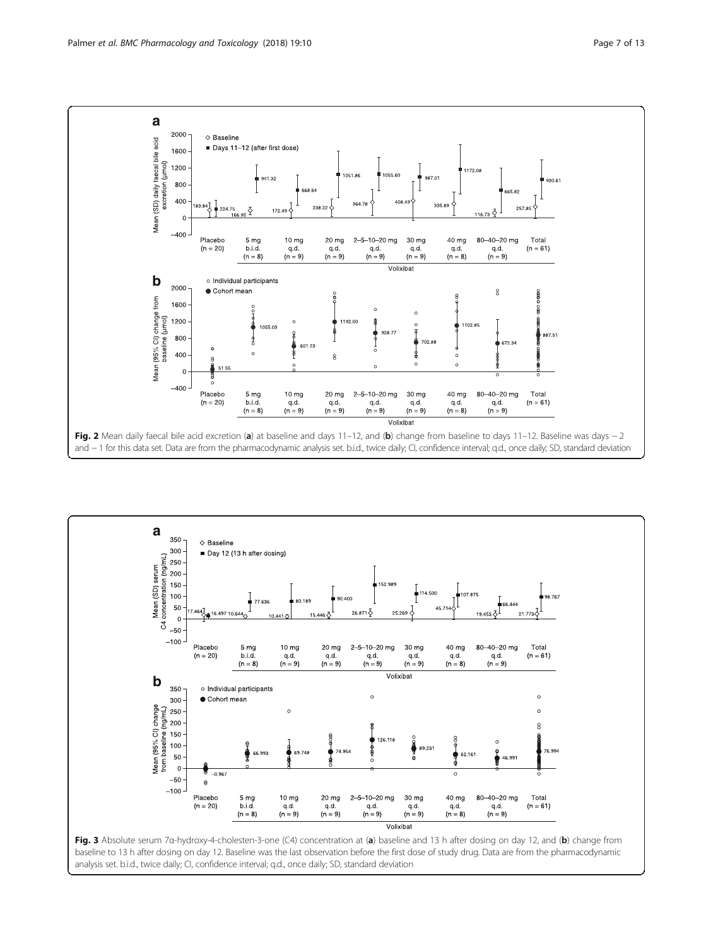<span id="page-6-0"></span>



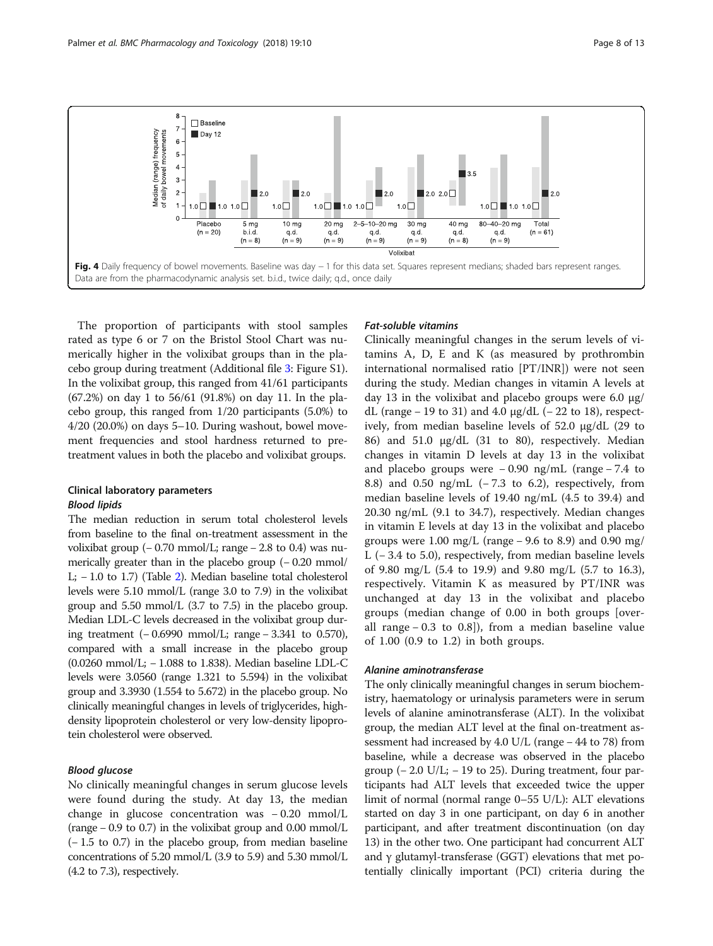<span id="page-7-0"></span>

The proportion of participants with stool samples rated as type 6 or 7 on the Bristol Stool Chart was numerically higher in the volixibat groups than in the placebo group during treatment (Additional file [3:](#page-11-0) Figure S1). In the volixibat group, this ranged from 41/61 participants (67.2%) on day 1 to 56/61 (91.8%) on day 11. In the placebo group, this ranged from 1/20 participants (5.0%) to 4/20 (20.0%) on days 5–10. During washout, bowel movement frequencies and stool hardness returned to pretreatment values in both the placebo and volixibat groups.

# Clinical laboratory parameters Blood lipids

The median reduction in serum total cholesterol levels from baseline to the final on-treatment assessment in the volixibat group  $(-0.70 \text{ mmol/L}; \text{range} - 2.8 \text{ to } 0.4)$  was numerically greater than in the placebo group (− 0.20 mmol/ L; − 1.0 to 1.7) (Table [2\)](#page-8-0). Median baseline total cholesterol levels were 5.10 mmol/L (range 3.0 to 7.9) in the volixibat group and 5.50 mmol/L (3.7 to 7.5) in the placebo group. Median LDL-C levels decreased in the volixibat group during treatment (− 0.6990 mmol/L; range − 3.341 to 0.570), compared with a small increase in the placebo group (0.0260 mmol/L; − 1.088 to 1.838). Median baseline LDL-C levels were 3.0560 (range 1.321 to 5.594) in the volixibat group and 3.3930 (1.554 to 5.672) in the placebo group. No clinically meaningful changes in levels of triglycerides, highdensity lipoprotein cholesterol or very low-density lipoprotein cholesterol were observed.

## Blood glucose

No clinically meaningful changes in serum glucose levels were found during the study. At day 13, the median change in glucose concentration was − 0.20 mmol/L (range − 0.9 to 0.7) in the volixibat group and 0.00 mmol/L (− 1.5 to 0.7) in the placebo group, from median baseline concentrations of 5.20 mmol/L (3.9 to 5.9) and 5.30 mmol/L (4.2 to 7.3), respectively.

#### Fat-soluble vitamins

Clinically meaningful changes in the serum levels of vitamins A, D, E and K (as measured by prothrombin international normalised ratio [PT/INR]) were not seen during the study. Median changes in vitamin A levels at day 13 in the volixibat and placebo groups were 6.0 μg/ dL (range – 19 to 31) and 4.0  $\mu$ g/dL (– 22 to 18), respectively, from median baseline levels of 52.0 μg/dL (29 to 86) and 51.0 μg/dL (31 to 80), respectively. Median changes in vitamin D levels at day 13 in the volixibat and placebo groups were − 0.90 ng/mL (range − 7.4 to 8.8) and 0.50 ng/mL (−7.3 to 6.2), respectively, from median baseline levels of 19.40 ng/mL (4.5 to 39.4) and 20.30 ng/mL (9.1 to 34.7), respectively. Median changes in vitamin E levels at day 13 in the volixibat and placebo groups were  $1.00 \text{ mg/L}$  (range – 9.6 to 8.9) and 0.90 mg/ L (− 3.4 to 5.0), respectively, from median baseline levels of 9.80 mg/L (5.4 to 19.9) and 9.80 mg/L (5.7 to 16.3), respectively. Vitamin K as measured by PT/INR was unchanged at day 13 in the volixibat and placebo groups (median change of 0.00 in both groups [overall range − 0.3 to 0.8]), from a median baseline value of 1.00 (0.9 to 1.2) in both groups.

## Alanine aminotransferase

The only clinically meaningful changes in serum biochemistry, haematology or urinalysis parameters were in serum levels of alanine aminotransferase (ALT). In the volixibat group, the median ALT level at the final on-treatment assessment had increased by 4.0 U/L (range − 44 to 78) from baseline, while a decrease was observed in the placebo group ( $- 2.0$  U/L;  $- 19$  to 25). During treatment, four participants had ALT levels that exceeded twice the upper limit of normal (normal range 0–55 U/L): ALT elevations started on day 3 in one participant, on day 6 in another participant, and after treatment discontinuation (on day 13) in the other two. One participant had concurrent ALT and γ glutamyl-transferase (GGT) elevations that met potentially clinically important (PCI) criteria during the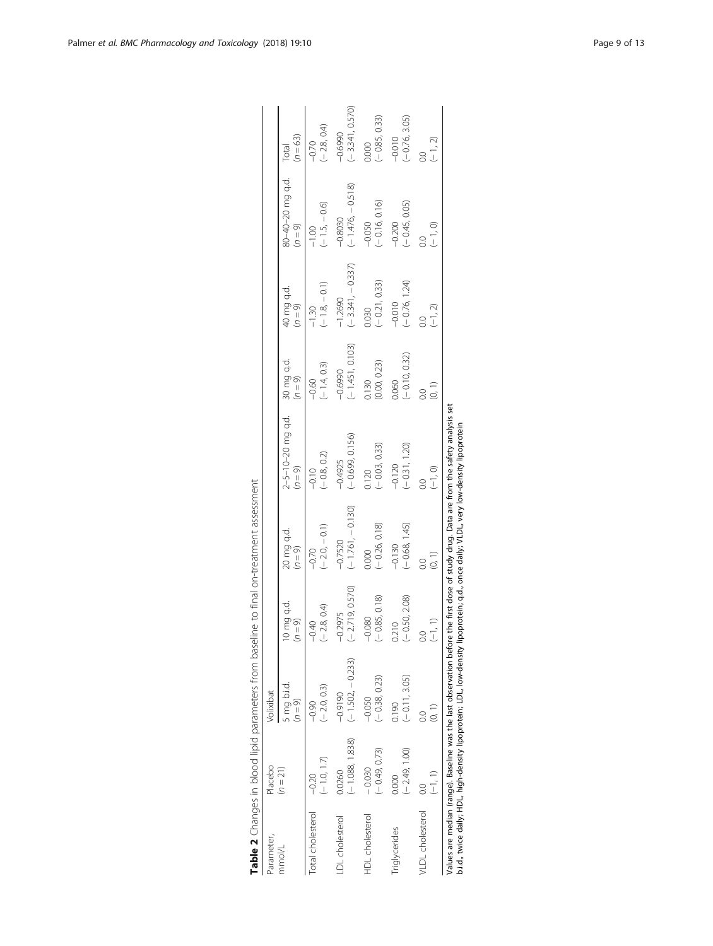<span id="page-8-0"></span>

| Parameter               | Placebo                                       | Volixibat               |                         |                          |                                                                                                                                         |                         |                             |                                     |                             |
|-------------------------|-----------------------------------------------|-------------------------|-------------------------|--------------------------|-----------------------------------------------------------------------------------------------------------------------------------------|-------------------------|-----------------------------|-------------------------------------|-----------------------------|
| mmol/L                  | $(n = 21)$                                    | 5 mg b.i.d<br>$(n = 9)$ | 10 mg q.d.<br>$(n = 9)$ | 20 mg q.d.<br>$(n = 9)$  | 2-5-10-20 mg q.d.<br>$(n = 9)$                                                                                                          | 30 mg q.d.<br>$(n = 9)$ | 40 mg q.d.<br>$(n = 9)$     | 80-40-20 mg q.d. Total<br>$(n = 9)$ | $(n = 63)$                  |
| Total cholesterol       | $(-1.0, 1.7)$                                 | $(-2.0, 0.3)$           | $(-2.8, 0.4)$           | $(-2.0, -0.1)$           | $(-0.8, 0.2)$                                                                                                                           | $(-1.4, 0.3)$           | $(-1.8, -0.1)$              | $(-1.5, -0.6)$                      | $(-2.8, 0.4)$               |
|                         | -0.20                                         | $-0.90$                 | $-0.40$                 | $-0.70$                  | $-0.10$                                                                                                                                 | $-0.60$                 | $-1.30$                     | $-1.00$                             | $-0.70$                     |
| DL cholesterol          | $(-1.088, 1.838)$                             | $(-1.502, -0.233)$      | $(-2.719, 0.570)$       | $(-1.761, -0.130)$       | $(-0.699, 0.156)$                                                                                                                       | $(-1.451, 0.103)$       | $(-3.341, -0.337)$          | $(-1.476, -0.518)$                  | $(-3.341, 0.570)$           |
|                         | 0.0260                                        | $-0.9190$               | $-0.2975$               | $-0.7520$                | $-0.4925$                                                                                                                               | $-0.6990$               | $-1.2690$                   | $-0.8030$                           | $-0.6990$                   |
| HDL cholesterol         | $(-0.49, 0.73)$                               | $(-0.38, 0.23)$         | $(-0.85, 0.18)$         | $(-0.26, 0.18)$          | $(-0.03, 0.33)$                                                                                                                         | (0.00, 0.23)            | $(-0.21, 0.33)$             | $(-0.16, 0.16)$                     | $(-0.85, 0.33)$             |
|                         | $-0.030$                                      | $-0.050$                | $-0.080$                | 0.000                    | 0.120                                                                                                                                   | 0.130                   | 030                         | $-0.050$                            | 0.000                       |
| Trialycerides           | $(-2.49, 1.00)$                               | $(-0.11, 3.05)$         | $(-0.50, 2.08)$         | $(-0.68, 1.45)$          | $(-0.31, 1.20)$                                                                                                                         | $(-0.10, 0.32)$         | $(-0.76, 1.24)$             | $(-0.45, 0.05)$                     | $(-0.76, 3.05)$             |
|                         | 0.000                                         | 0.190                   | 0.210                   | $-0.130$                 | $-0.120$                                                                                                                                | 0.060                   | $-0.010$                    | $-0.200$                            | $-0.010$                    |
| <b>VLDL</b> cholesterol | $\begin{pmatrix} -1 \\ -1 \end{pmatrix}$<br>S | (0, 1)                  | $(-1, 1)$<br>O.O        | (0, 1)<br>$\overline{0}$ | $(-1, 0)$<br>S                                                                                                                          | (0, 1)                  | $(-1, 2)$<br>$\overline{0}$ | $(-1, 0)$<br>S                      | $(-1, 2)$<br>$\overline{0}$ |
|                         |                                               |                         |                         |                          | Values are median (range). Baseline was the last observation before the first dose of study drug. Data are from the safety analysis set |                         |                             |                                     |                             |

| ź<br>ś<br>l<br>J<br>ļ<br>į<br>ונו<br>י<br>i<br>l<br>I<br>l<br>i<br>י<br>ו<br>١<br>Ę<br>Į<br>j<br>Ì<br>ì<br>ļ<br>j<br>י<br>ו<br>ī<br>l |
|---------------------------------------------------------------------------------------------------------------------------------------|
| Ì<br>j                                                                                                                                |
| $\frac{1}{2}$<br>ļ                                                                                                                    |
| J<br>j<br>)<br>)<br>)<br>ł<br>$\mathfrak{c}$                                                                                          |
| ء<br>ڊ<br>ì                                                                                                                           |
| $\frac{1}{2}$<br>Innin narama <del>t</del> are<br>$\frac{1}{2}$<br>í<br>j<br>í                                                        |
| $\overline{\phantom{a}}$                                                                                                              |
| )<br>)<br>$\overline{\phantom{a}}$<br>č<br>Sida                                                                                       |
|                                                                                                                                       |
| 3<br>ă<br>i<br>١<br>ļ<br>ł<br>J<br>I                                                                                                  |
| ।<br>य<br>4                                                                                                                           |
| J<br>able<br>ī<br>I<br>í                                                                                                              |

b.i.d., twice daily; HDL, high-density lipoprotein; LDL, low-density lipoprotein; q.d., once daily; VLDL, very low-density lipoprotein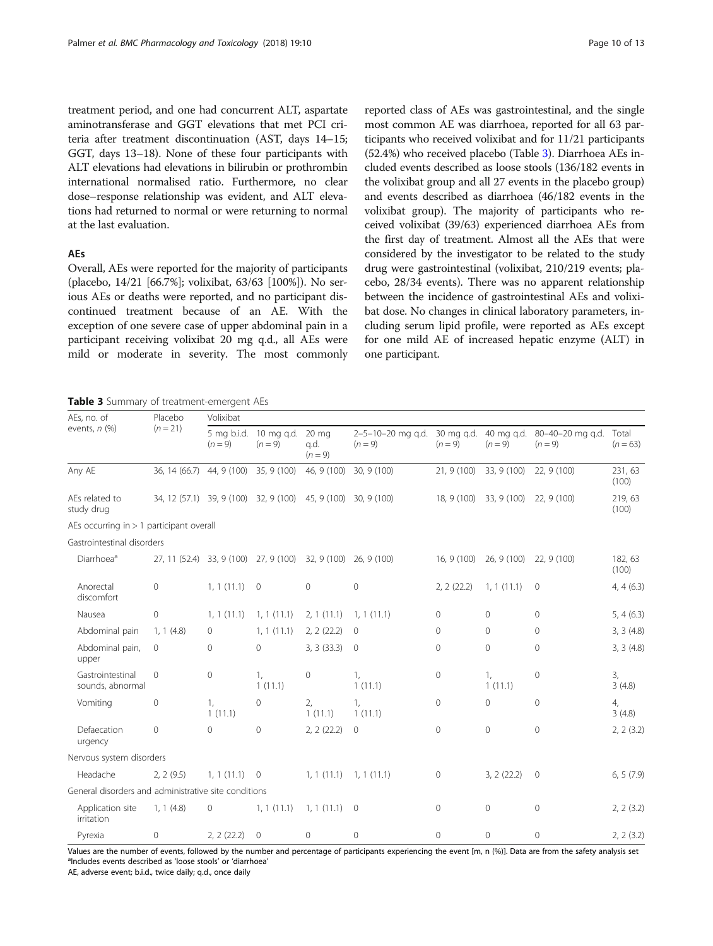treatment period, and one had concurrent ALT, aspartate aminotransferase and GGT elevations that met PCI criteria after treatment discontinuation (AST, days 14–15; GGT, days 13–18). None of these four participants with ALT elevations had elevations in bilirubin or prothrombin international normalised ratio. Furthermore, no clear dose–response relationship was evident, and ALT elevations had returned to normal or were returning to normal at the last evaluation.

# AEs

Overall, AEs were reported for the majority of participants (placebo, 14/21 [66.7%]; volixibat, 63/63 [100%]). No serious AEs or deaths were reported, and no participant discontinued treatment because of an AE. With the exception of one severe case of upper abdominal pain in a participant receiving volixibat 20 mg q.d., all AEs were mild or moderate in severity. The most commonly

reported class of AEs was gastrointestinal, and the single most common AE was diarrhoea, reported for all 63 participants who received volixibat and for 11/21 participants (52.4%) who received placebo (Table 3). Diarrhoea AEs included events described as loose stools (136/182 events in the volixibat group and all 27 events in the placebo group) and events described as diarrhoea (46/182 events in the volixibat group). The majority of participants who received volixibat (39/63) experienced diarrhoea AEs from the first day of treatment. Almost all the AEs that were considered by the investigator to be related to the study drug were gastrointestinal (volixibat, 210/219 events; placebo, 28/34 events). There was no apparent relationship between the incidence of gastrointestinal AEs and volixibat dose. No changes in clinical laboratory parameters, including serum lipid profile, were reported as AEs except for one mild AE of increased hepatic enzyme (ALT) in one participant.

Table 3 Summary of treatment-emergent AEs

| AEs, no. of                                          | Placebo                                                       | Volixibat                |                         |                                      |                                |                         |                         |                                          |                     |
|------------------------------------------------------|---------------------------------------------------------------|--------------------------|-------------------------|--------------------------------------|--------------------------------|-------------------------|-------------------------|------------------------------------------|---------------------|
| events, $n$ (%)                                      | $(n = 21)$                                                    | 5 mg b.i.d.<br>$(n = 9)$ | 10 mg g.d.<br>$(n = 9)$ | $20 \text{ mg}$<br>q.d.<br>$(n = 9)$ | 2-5-10-20 mg g.d.<br>$(n = 9)$ | 30 mg g.d.<br>$(n = 9)$ | $(n = 9)$               | 40 mg g.d. 80-40-20 mg g.d.<br>$(n = 9)$ | Total<br>$(n = 63)$ |
| Any AE                                               | 36, 14 (66.7) 44, 9 (100) 35, 9 (100)                         |                          |                         | 46, 9 (100)                          | 30, 9 (100)                    | 21, 9(100)              | 33, 9 (100)             | 22, 9 (100)                              | 231, 63<br>(100)    |
| AEs related to<br>study drug                         | 34, 12 (57.1) 39, 9 (100) 32, 9 (100) 45, 9 (100) 30, 9 (100) |                          |                         |                                      |                                | 18, 9 (100)             | 33, 9 (100) 22, 9 (100) |                                          | 219, 63<br>(100)    |
| AEs occurring in > 1 participant overall             |                                                               |                          |                         |                                      |                                |                         |                         |                                          |                     |
| Gastrointestinal disorders                           |                                                               |                          |                         |                                      |                                |                         |                         |                                          |                     |
| Diarrhoea <sup>a</sup>                               | 27, 11 (52.4) 33, 9 (100) 27, 9 (100) 32, 9 (100) 26, 9 (100) |                          |                         |                                      |                                | 16, 9(100)              | 26, 9(100)              | 22, 9 (100)                              | 182, 63<br>(100)    |
| Anorectal<br>discomfort                              | $\circ$                                                       | 1, 1(11.1)               | $\overline{0}$          | $\Omega$                             | $\mathbf 0$                    | 2, 2(22.2)              | 1, 1(11.1)              | $\circ$                                  | 4, 4(6.3)           |
| Nausea                                               | $\circ$                                                       | 1, 1(11.1)               | 1, 1(11.1)              | 2, 1(11.1)                           | 1, 1(11.1)                     | $\circ$                 | $\mathbf{0}$            | $\mathbf{0}$                             | 5, 4(6.3)           |
| Abdominal pain                                       | 1, 1 (4.8)                                                    | $\mathbf{0}$             | 1, 1(11.1)              | 2, 2(22.2)                           | $\mathbf 0$                    | $\Omega$                | $\mathbf{0}$            | $\Omega$                                 | 3, 3(4.8)           |
| Abdominal pain,<br>upper                             | $\Omega$                                                      | 0                        | $\Omega$                | 3, 3 (33.3)                          | $\overline{0}$                 | $\circ$                 | $\mathbf{0}$            | $\overline{0}$                           | 3, 3(4.8)           |
| Gastrointestinal<br>sounds, abnormal                 | $\mathbf{0}$                                                  | 0                        | 1,<br>1(11.1)           | 0                                    | 1,<br>1(11.1)                  | $\mathbf{0}$            | 1,<br>1(11.1)           | $\mathbf 0$                              | 3,<br>3(4.8)        |
| Vomiting                                             | $\circ$                                                       | 1,<br>1(11.1)            | $\mathbf{0}$            | 2,<br>1(11.1)                        | 1,<br>1(11.1)                  | $\circ$                 | 0                       | $\overline{0}$                           | 4,<br>3(4.8)        |
| Defaecation<br>urgency                               | $\circ$                                                       | 0                        | $\mathbf 0$             | 2, 2(22.2)                           | $\mathbf{0}$                   | $\circ$                 | $\circ$                 | $\mathbf 0$                              | 2, 2(3.2)           |
| Nervous system disorders                             |                                                               |                          |                         |                                      |                                |                         |                         |                                          |                     |
| Headache                                             | 2, 2(9.5)                                                     | 1, 1(11.1) 0             |                         | $1, 1(11.1)$ $1, 1(11.1)$            |                                | 0                       | 3, 2(22.2)              | $\mathbf{0}$                             | 6, 5(7.9)           |
| General disorders and administrative site conditions |                                                               |                          |                         |                                      |                                |                         |                         |                                          |                     |
| Application site<br>irritation                       | 1, 1(4.8)                                                     | $\mathbf 0$              | 1, 1(11.1)              | $1, 1(11.1)$ 0                       |                                | $\circ$                 | $\mathbf 0$             | $\mathbf 0$                              | 2, 2(3.2)           |
| Pyrexia                                              | 0                                                             | 2, 2(22.2)               | $\mathbf 0$             | 0                                    | 0                              | $\circ$                 | $\mathbf{0}$            | $\overline{0}$                           | 2, 2(3.2)           |

Values are the number of events, followed by the number and percentage of participants experiencing the event [m, n (%)]. Data are from the safety analysis set <sup>a</sup>Includes events described as 'loose stools' or 'diarrhoea'

AE, adverse event; b.i.d., twice daily; q.d., once daily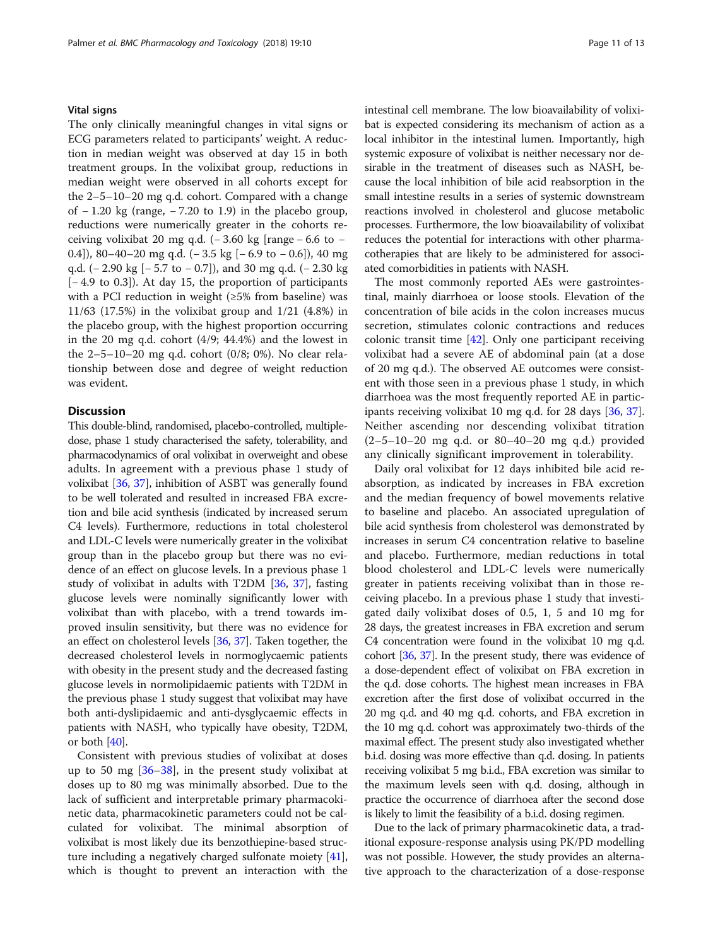## Vital signs

The only clinically meaningful changes in vital signs or ECG parameters related to participants' weight. A reduction in median weight was observed at day 15 in both treatment groups. In the volixibat group, reductions in median weight were observed in all cohorts except for the 2–5–10–20 mg q.d. cohort. Compared with a change of  $-1.20 \text{ kg}$  (range,  $-7.20 \text{ to } 1.9$ ) in the placebo group, reductions were numerically greater in the cohorts receiving volixibat 20 mg q.d. (− 3.60 kg [range − 6.6 to − 0.4]), 80–40–20 mg q.d. (− 3.5 kg [− 6.9 to − 0.6]), 40 mg q.d. (− 2.90 kg [− 5.7 to − 0.7]), and 30 mg q.d. (− 2.30 kg [− 4.9 to 0.3]). At day 15, the proportion of participants with a PCI reduction in weight (≥5% from baseline) was 11/63 (17.5%) in the volixibat group and 1/21 (4.8%) in the placebo group, with the highest proportion occurring in the 20 mg q.d. cohort (4/9; 44.4%) and the lowest in the 2–5–10–20 mg q.d. cohort (0/8; 0%). No clear relationship between dose and degree of weight reduction was evident.

## **Discussion**

This double-blind, randomised, placebo-controlled, multipledose, phase 1 study characterised the safety, tolerability, and pharmacodynamics of oral volixibat in overweight and obese adults. In agreement with a previous phase 1 study of volixibat [[36,](#page-12-0) [37](#page-12-0)], inhibition of ASBT was generally found to be well tolerated and resulted in increased FBA excretion and bile acid synthesis (indicated by increased serum C4 levels). Furthermore, reductions in total cholesterol and LDL-C levels were numerically greater in the volixibat group than in the placebo group but there was no evidence of an effect on glucose levels. In a previous phase 1 study of volixibat in adults with T2DM [\[36,](#page-12-0) [37\]](#page-12-0), fasting glucose levels were nominally significantly lower with volixibat than with placebo, with a trend towards improved insulin sensitivity, but there was no evidence for an effect on cholesterol levels [\[36,](#page-12-0) [37](#page-12-0)]. Taken together, the decreased cholesterol levels in normoglycaemic patients with obesity in the present study and the decreased fasting glucose levels in normolipidaemic patients with T2DM in the previous phase 1 study suggest that volixibat may have both anti-dyslipidaemic and anti-dysglycaemic effects in patients with NASH, who typically have obesity, T2DM, or both [\[40\]](#page-12-0).

Consistent with previous studies of volixibat at doses up to 50 mg [[36](#page-12-0)–[38](#page-12-0)], in the present study volixibat at doses up to 80 mg was minimally absorbed. Due to the lack of sufficient and interpretable primary pharmacokinetic data, pharmacokinetic parameters could not be calculated for volixibat. The minimal absorption of volixibat is most likely due its benzothiepine-based structure including a negatively charged sulfonate moiety [[41](#page-12-0)], which is thought to prevent an interaction with the intestinal cell membrane. The low bioavailability of volixibat is expected considering its mechanism of action as a local inhibitor in the intestinal lumen. Importantly, high systemic exposure of volixibat is neither necessary nor desirable in the treatment of diseases such as NASH, because the local inhibition of bile acid reabsorption in the small intestine results in a series of systemic downstream reactions involved in cholesterol and glucose metabolic processes. Furthermore, the low bioavailability of volixibat reduces the potential for interactions with other pharmacotherapies that are likely to be administered for associated comorbidities in patients with NASH.

The most commonly reported AEs were gastrointestinal, mainly diarrhoea or loose stools. Elevation of the concentration of bile acids in the colon increases mucus secretion, stimulates colonic contractions and reduces colonic transit time [[42\]](#page-12-0). Only one participant receiving volixibat had a severe AE of abdominal pain (at a dose of 20 mg q.d.). The observed AE outcomes were consistent with those seen in a previous phase 1 study, in which diarrhoea was the most frequently reported AE in participants receiving volixibat 10 mg q.d. for 28 days [\[36](#page-12-0), [37](#page-12-0)]. Neither ascending nor descending volixibat titration (2–5–10–20 mg q.d. or 80–40–20 mg q.d.) provided any clinically significant improvement in tolerability.

Daily oral volixibat for 12 days inhibited bile acid reabsorption, as indicated by increases in FBA excretion and the median frequency of bowel movements relative to baseline and placebo. An associated upregulation of bile acid synthesis from cholesterol was demonstrated by increases in serum C4 concentration relative to baseline and placebo. Furthermore, median reductions in total blood cholesterol and LDL-C levels were numerically greater in patients receiving volixibat than in those receiving placebo. In a previous phase 1 study that investigated daily volixibat doses of 0.5, 1, 5 and 10 mg for 28 days, the greatest increases in FBA excretion and serum C4 concentration were found in the volixibat 10 mg q.d. cohort [\[36,](#page-12-0) [37](#page-12-0)]. In the present study, there was evidence of a dose-dependent effect of volixibat on FBA excretion in the q.d. dose cohorts. The highest mean increases in FBA excretion after the first dose of volixibat occurred in the 20 mg q.d. and 40 mg q.d. cohorts, and FBA excretion in the 10 mg q.d. cohort was approximately two-thirds of the maximal effect. The present study also investigated whether b.i.d. dosing was more effective than q.d. dosing. In patients receiving volixibat 5 mg b.i.d., FBA excretion was similar to the maximum levels seen with q.d. dosing, although in practice the occurrence of diarrhoea after the second dose is likely to limit the feasibility of a b.i.d. dosing regimen.

Due to the lack of primary pharmacokinetic data, a traditional exposure-response analysis using PK/PD modelling was not possible. However, the study provides an alternative approach to the characterization of a dose-response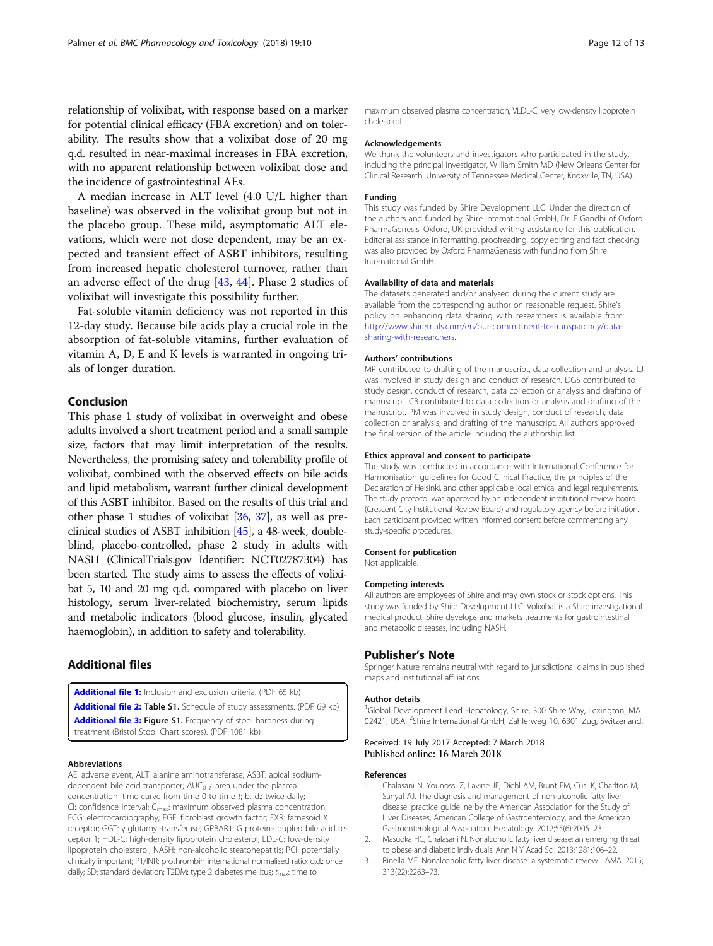<span id="page-11-0"></span>relationship of volixibat, with response based on a marker for potential clinical efficacy (FBA excretion) and on tolerability. The results show that a volixibat dose of 20 mg q.d. resulted in near-maximal increases in FBA excretion, with no apparent relationship between volixibat dose and the incidence of gastrointestinal AEs.

A median increase in ALT level (4.0 U/L higher than baseline) was observed in the volixibat group but not in the placebo group. These mild, asymptomatic ALT elevations, which were not dose dependent, may be an expected and transient effect of ASBT inhibitors, resulting from increased hepatic cholesterol turnover, rather than an adverse effect of the drug [\[43,](#page-12-0) [44](#page-12-0)]. Phase 2 studies of volixibat will investigate this possibility further.

Fat-soluble vitamin deficiency was not reported in this 12-day study. Because bile acids play a crucial role in the absorption of fat-soluble vitamins, further evaluation of vitamin A, D, E and K levels is warranted in ongoing trials of longer duration.

## Conclusion

This phase 1 study of volixibat in overweight and obese adults involved a short treatment period and a small sample size, factors that may limit interpretation of the results. Nevertheless, the promising safety and tolerability profile of volixibat, combined with the observed effects on bile acids and lipid metabolism, warrant further clinical development of this ASBT inhibitor. Based on the results of this trial and other phase 1 studies of volixibat [\[36](#page-12-0), [37\]](#page-12-0), as well as preclinical studies of ASBT inhibition [\[45](#page-12-0)], a 48-week, doubleblind, placebo-controlled, phase 2 study in adults with NASH (ClinicalTrials.gov Identifier: NCT02787304) has been started. The study aims to assess the effects of volixibat 5, 10 and 20 mg q.d. compared with placebo on liver histology, serum liver-related biochemistry, serum lipids and metabolic indicators (blood glucose, insulin, glycated haemoglobin), in addition to safety and tolerability.

# Additional files

[Additional file 1:](https://doi.org/10.1186/s40360-018-0200-y) Inclusion and exclusion criteria. (PDF 65 kb) [Additional file 2:](https://doi.org/10.1186/s40360-018-0200-y) Table S1. Schedule of study assessments. (PDF 69 kb) [Additional file 3:](https://doi.org/10.1186/s40360-018-0200-y) Figure S1. Frequency of stool hardness during treatment (Bristol Stool Chart scores). (PDF 1081 kb)

#### Abbreviations

AE: adverse event; ALT: alanine aminotransferase; ASBT: apical sodiumdependent bile acid transporter;  $AUC_{0}$  area under the plasma concentration–time curve from time 0 to time t; b.i.d.: twice-daily; CI: confidence interval;  $C_{\text{max}}$ : maximum observed plasma concentration; ECG: electrocardiography; FGF: fibroblast growth factor; FXR: farnesoid X receptor; GGT: γ glutamyl-transferase; GPBAR1: G protein-coupled bile acid receptor 1; HDL-C: high-density lipoprotein cholesterol; LDL-C: low-density lipoprotein cholesterol; NASH: non-alcoholic steatohepatitis; PCI: potentially clinically important; PT/INR: prothrombin international normalised ratio; q.d.: once daily; SD: standard deviation; T2DM: type 2 diabetes mellitus;  $t_{\text{max}}$ : time to

maximum observed plasma concentration; VLDL-C: very low-density lipoprotein cholesterol

#### Acknowledgements

We thank the volunteers and investigators who participated in the study, including the principal investigator, William Smith MD (New Orleans Center for Clinical Research, University of Tennessee Medical Center, Knoxville, TN, USA).

#### Funding

This study was funded by Shire Development LLC. Under the direction of the authors and funded by Shire International GmbH, Dr. E Gandhi of Oxford PharmaGenesis, Oxford, UK provided writing assistance for this publication. Editorial assistance in formatting, proofreading, copy editing and fact checking was also provided by Oxford PharmaGenesis with funding from Shire International GmbH.

#### Availability of data and materials

The datasets generated and/or analysed during the current study are available from the corresponding author on reasonable request. Shire's policy on enhancing data sharing with researchers is available from: [http://www.shiretrials.com/en/our-commitment-to-transparency/data](http://www.shiretrials.com/en/our-commitment-to-transparency/data-sharing-with-researchers)[sharing-with-researchers.](http://www.shiretrials.com/en/our-commitment-to-transparency/data-sharing-with-researchers)

#### Authors' contributions

MP contributed to drafting of the manuscript, data collection and analysis. LJ was involved in study design and conduct of research. DGS contributed to study design, conduct of research, data collection or analysis and drafting of manuscript. CB contributed to data collection or analysis and drafting of the manuscript. PM was involved in study design, conduct of research, data collection or analysis, and drafting of the manuscript. All authors approved the final version of the article including the authorship list.

#### Ethics approval and consent to participate

The study was conducted in accordance with International Conference for Harmonisation guidelines for Good Clinical Practice, the principles of the Declaration of Helsinki, and other applicable local ethical and legal requirements. The study protocol was approved by an independent institutional review board (Crescent City Institutional Review Board) and regulatory agency before initiation. Each participant provided written informed consent before commencing any study-specific procedures.

#### Consent for publication

Not applicable.

#### Competing interests

All authors are employees of Shire and may own stock or stock options. This study was funded by Shire Development LLC. Volixibat is a Shire investigational medical product. Shire develops and markets treatments for gastrointestinal and metabolic diseases, including NASH.

#### Publisher's Note

Springer Nature remains neutral with regard to jurisdictional claims in published maps and institutional affiliations.

#### Author details

<sup>1</sup>Global Development Lead Hepatology, Shire, 300 Shire Way, Lexington, MA 02421, USA. <sup>2</sup>Shire International GmbH, Zahlerweg 10, 6301 Zug, Switzerland.

#### Received: 19 July 2017 Accepted: 7 March 2018 Published online: 16 March 2018

#### References

- 1. Chalasani N, Younossi Z, Lavine JE, Diehl AM, Brunt EM, Cusi K, Charlton M, Sanyal AJ. The diagnosis and management of non-alcoholic fatty liver disease: practice guideline by the American Association for the Study of Liver Diseases, American College of Gastroenterology, and the American Gastroenterological Association. Hepatology. 2012;55(6):2005–23.
- 2. Masuoka HC, Chalasani N. Nonalcoholic fatty liver disease: an emerging threat to obese and diabetic individuals. Ann N Y Acad Sci. 2013;1281:106–22.
- 3. Rinella ME. Nonalcoholic fatty liver disease: a systematic review. JAMA. 2015; 313(22):2263–73.